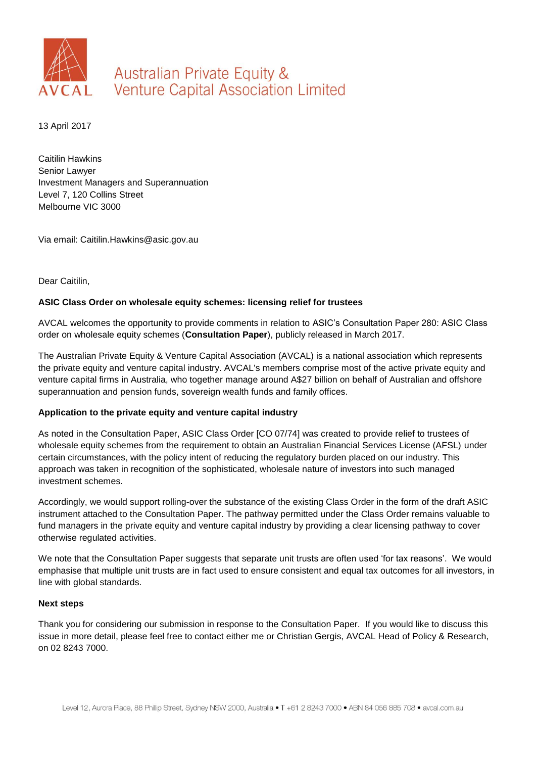

## **Australian Private Equity & Venture Capital Association Limited**

13 April 2017

Caitilin Hawkins Senior Lawyer Investment Managers and Superannuation Level 7, 120 Collins Street Melbourne VIC 3000

Via email: Caitilin.Hawkins@asic.gov.au

Dear Caitilin,

## **ASIC Class Order on wholesale equity schemes: licensing relief for trustees**

AVCAL welcomes the opportunity to provide comments in relation to ASIC's Consultation Paper 280: ASIC Class order on wholesale equity schemes (**Consultation Paper**), publicly released in March 2017.

The Australian Private Equity & Venture Capital Association (AVCAL) is a national association which represents the private equity and venture capital industry. AVCAL's members comprise most of the active private equity and venture capital firms in Australia, who together manage around A\$27 billion on behalf of Australian and offshore superannuation and pension funds, sovereign wealth funds and family offices.

## **Application to the private equity and venture capital industry**

As noted in the Consultation Paper, ASIC Class Order [CO 07/74] was created to provide relief to trustees of wholesale equity schemes from the requirement to obtain an Australian Financial Services License (AFSL) under certain circumstances, with the policy intent of reducing the regulatory burden placed on our industry. This approach was taken in recognition of the sophisticated, wholesale nature of investors into such managed investment schemes.

Accordingly, we would support rolling-over the substance of the existing Class Order in the form of the draft ASIC instrument attached to the Consultation Paper. The pathway permitted under the Class Order remains valuable to fund managers in the private equity and venture capital industry by providing a clear licensing pathway to cover otherwise regulated activities.

We note that the Consultation Paper suggests that separate unit trusts are often used 'for tax reasons'. We would emphasise that multiple unit trusts are in fact used to ensure consistent and equal tax outcomes for all investors, in line with global standards.

## **Next steps**

Thank you for considering our submission in response to the Consultation Paper. If you would like to discuss this issue in more detail, please feel free to contact either me or Christian Gergis, AVCAL Head of Policy & Research, on 02 8243 7000.